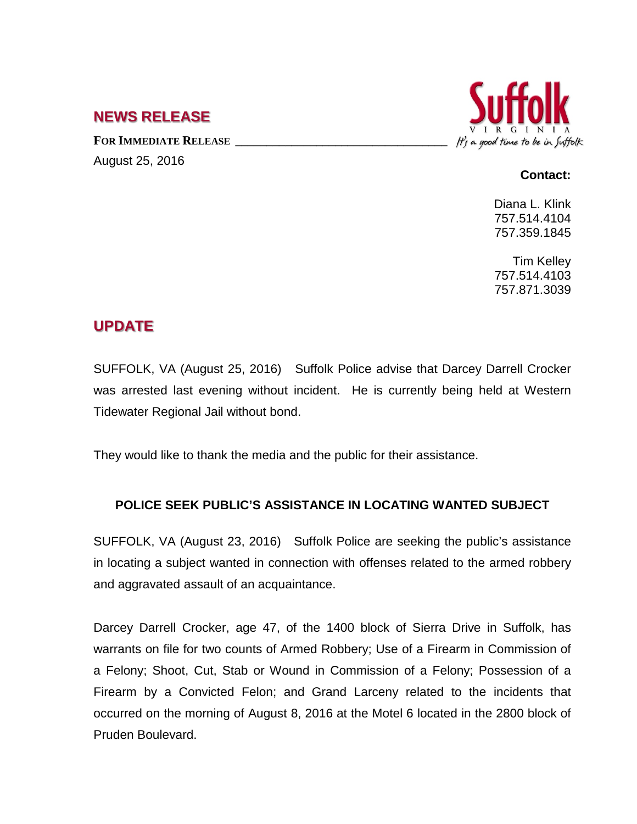## **NEWS RELEASE**

FOR **IMMEDIATE RELEASE** August 25, 2016



## **Contact:**

Diana L. Klink 757.514.4104 757.359.1845

Tim Kelley 757.514.4103 757.871.3039

## **UPDATE**

SUFFOLK, VA (August 25, 2016) Suffolk Police advise that Darcey Darrell Crocker was arrested last evening without incident. He is currently being held at Western Tidewater Regional Jail without bond.

They would like to thank the media and the public for their assistance.

## **POLICE SEEK PUBLIC'S ASSISTANCE IN LOCATING WANTED SUBJECT**

SUFFOLK, VA (August 23, 2016) Suffolk Police are seeking the public's assistance in locating a subject wanted in connection with offenses related to the armed robbery and aggravated assault of an acquaintance.

Darcey Darrell Crocker, age 47, of the 1400 block of Sierra Drive in Suffolk, has warrants on file for two counts of Armed Robbery; Use of a Firearm in Commission of a Felony; Shoot, Cut, Stab or Wound in Commission of a Felony; Possession of a Firearm by a Convicted Felon; and Grand Larceny related to the incidents that occurred on the morning of August 8, 2016 at the Motel 6 located in the 2800 block of Pruden Boulevard.